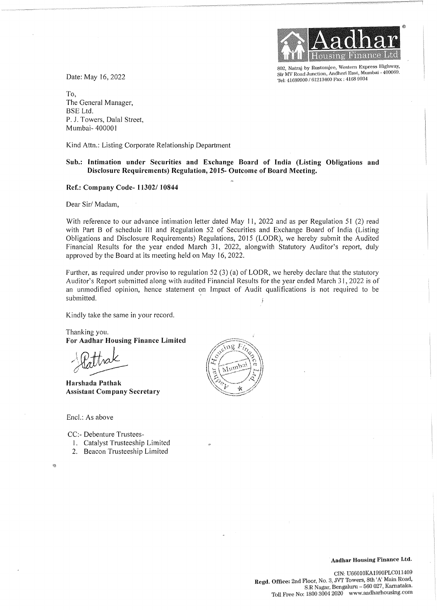Date: May 16, 2022



802, Natraj by Rustomjee, Western Express Highway, Sir MV Road Junction, Andheri East, Mumbai - 400069. Tel: 41689900 / 61213400 Fax: 4168 9934

To, The General Manager, BSE Ltd. P. J. Towers, Dalal Street, Mumbai- 400001

Kind Attn.: Listing Corporate Relationship Department

## **Sub.: Intimation under Securities and Exchange Board of India (Listing Obligations and Disclosure Requirements) Regulation, 2015- Outcome of Board Meeting.**

## **Ref.: Company Code- 11302/ 10844**

Dear Sir/ Madam,

With reference to our advance intimation letter dated May 11, 2022 and as per Regulation 51 (2) read with Part B of schedule III and Regulation 52 of Securities and Exchange Board of India (Listing Obligations and Disclosure Requirements) Regulations, 2015 (LODR), we hereby submit the Audited Financial Results for the year ended March 31, 2022, alongwith Statutory Auditor's report, duly approved by the Board at its meeting held on May 16, 2022.

Further, as required under proviso to regulation  $52$  (3) (a) of LODR, we hereby declare that the statutory Auditor's Report submitted along with audited Financial Results for the year ended March 31, 2022 is of an unmodified opinion, hence statement on Impact of Audit qualifications is not required to be submitted.

Kindly take the same in your record.

Thanking you. **For Aadhar Housing Finance Limited** 

.indly take the same in you<br>hanking you.<br>or Aadhar Housing Final<br>Aadhack

**Harshada Pathak Assistant Company Secretary** 

Encl.: As above

Ņ

CC:- Debenture Trustees-

- !. Catalyst Trusteeship Limited
- 2. Beacon Trusteeship Limited

៶៶៶ឨ มีหม

**Aadhar Housing Finance Ltd.**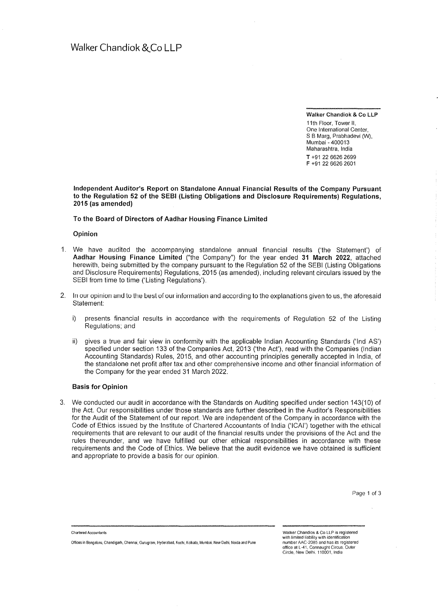Walker Chandiok & Co LLP 11th Floor, Tower II.

One International Center, S B Marg, Prabhadevi (W), Mumbai - 400013 Maharashtra, India T +91 22 6626 2699 F +91 22 6626 2601

**Independent Auditor's Report on Standalone Annual Financial Results of the Company Pursuant to the Regulation 52 of the SEBI (Listing Obligations and Disclosure Requirements) Regulations, 2015 (as amended)** 

**To the Board of Directors of Aadhar Housing Finance Limited** 

**Opinion** 

- 1. We have audited the accompanying standalone annual financial results ('the Statement') of **Aadhar Housing Finance Limited** ("the Company") for the year ended **31 March 2022,** attached herewith, being submitted by the company pursuant to the Regulation 52 of the SEBI (Listing Obligations and Disclosure Requirements) Regulations, 2015 (as amended), including relevant circulars issued by the SEBI from time to time ('Listing Regulations').
- 2. In our opinion and to the best of our information and according to the explanations given to us, the aforesaid Statement:
	- i) presents financial results in accordance with the requirements of Regulation 52 of the Listing Regulations; and
	- ii) gives a true and fair view in conformity with the applicable Indian Accounting Standards ('Ind AS') specified under section 133 of the Companies Act, 2013 ('the Act'), read with the Companies (Indian Accounting Standards) Rules, 2015, and other accounting principles generally accepted in India, of the standalone net profit after tax and other comprehensive income and other financial information of the Company for the year ended 31 March 2022.

## **Basis for Opinion**

3. We conducted our audit in accordance with the Standards on Auditing specified under section 143(10) of the Act. Our responsibilities under those standards are further described in the Auditor's Responsibilities for the Audit of the Statement of our report. We are independent of the Company in accordance with the Code of Ethics issued by the Institute of Chartered Accountants of India ('ICAI') together with the ethical requirements that are relevant to our audit of the financial results under the provisions of the Act and the rules thereunder, and we have fulfilled our other ethical responsibilities in accordance with these requirements and the Code of Ethics. We believe that the audit evidence we have obtained is sufficient and appropriate to provide a basis for our opinion.

Chartered Accountants

Offices in Bengaluru, Chandigarh, Chennai, Gurugram, Hyderabad, Kochi, Kolkata, Mumbai, New Delhi, Naida and Puna

Walker Chandiok & Co LLP is registered with limited liability with identification number AAC-2085 and has its registered office at L-41, Connaught Circus. Outer Circle, New Delhi. 110001, India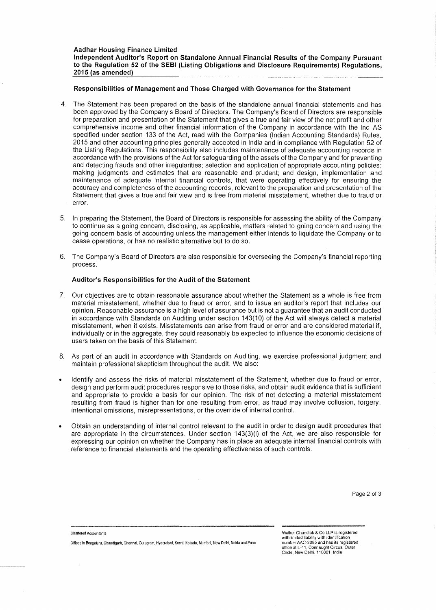#### **Responsibilities of Management and Those Charged with Governance for the Statement**

- 4. The Statement has been prepared on the basis of the standalone annual financial statements and has been approved by the Company's Board of Directors. The Company's Board of Directors are responsible for preparation and presentation of the Statement that gives a true and fair view of the net profit and other comprehensive income and other financial information of the Company in accordance with the Ind AS specified under section 133 of the Act, read with the Companies (Indian Accounting Standards) Rules, 2015 and other accounting principles generally accepted in India and in compliance with Regulation 52 of the Listing Regulations. This responsibility also includes maintenance of adequate accounting records in accordance with the provisions of the Act for safeguarding of the assets of the Company and for preventing and detecting frauds and other irregularities; selection and application of appropriate accounting policies; making judgments and estimates that are reasonable and prudent; and design, implementation and maintenance of adequate internal financial controls, that were operating effectively for ensuring the accuracy and completeness of the accounting records, relevant to the preparation and presentation of the Statement that gives a true and fair view and is free from material misstatement, whether due to fraud or error.
- 5. In preparing the Statement, the Board of Directors is responsible for assessing the ability of the Company to continue as a going concern, disclosing, as applicable, matters related to going concern and using the going concern basis of accounting unless the management either intends to liquidate the Company or to cease operations, or has no realistic alternative but to do so.
- 6. The Company's Board of Directors are also responsible for overseeing the Company's financial reporting process.

## **Auditor's Responsibilities for the Audit of the Statement**

- 7. Our objectives are to obtain reasonable assurance about whether the Statement as a whole is free from material misstatement, whether due to fraud or error, and to issue an auditor's report that includes our opinion. Reasonable assurance is a high level of assurance but is not a guarantee that an audit conducted in accordance with Standards on Auditing under section 143(10) of the Act will always detect a material misstatement, when it exists. Misstatements can arise from fraud or error and are considered material if, individually or in the aggregate, they could reasonably be expected to influence the economic decisions of users taken on the basis of this Statement.
- 8. As part of an audit in accordance with Standards on Auditing, we exercise professional judgment and maintain professional skepticism throughout the audit. We also:
- Identify and assess the risks of material misstatement of the Statement, whether due to fraud or error, design and perform audit procedures responsive to those risks, and obtain audit evidence that is sufficient and appropriate to provide a basis for our opinion. The risk of not detecting a material misstatement resulting from fraud is higher than for one resulting from error, as fraud may involve collusion, forgery, intentional omissions, misrepresentations, or the override of internal control.
- Obtain an understanding of internal control relevant to the audit in order to design audit procedures that are appropriate in the circumstances. Under section 143(3)(i) of the Act, we are also responsible for expressing our opinion on whether the Company has in place an adequate internal financial controls with reference to financial statements and the operating effectiveness of such controls.

Page 2 of 3

| <b>Chartered Accountants</b>                                                                                      |
|-------------------------------------------------------------------------------------------------------------------|
| Offices in Bengaluru, Chandigarh, Chennai, Gurugram, Hyderabad, Kochi, Kolkata, Mumbai, New Delhi, Noida and Pune |

Walker Chandiok & Co LLP is registered with limited liability with identification number AAC-2085 and has its registered office at L-41, Connaught Circus, Outer Circle, New Delhi. 110001. India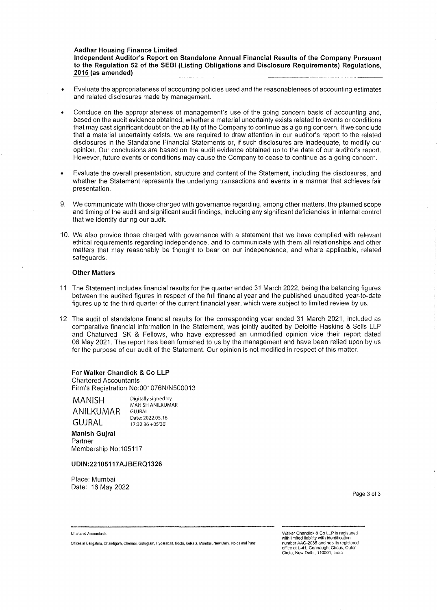**Aadhar Housing Finance Limited** 

**Independent Auditor's Report on Standalone Annual Financial Results of the Company Pursuant to the Regulation 52 of the SEBI (Listing Obligations and Disclosure Requirements) Regulations, 2015 (as amended)** 

- Evaluate the appropriateness of accounting policies used and the reasonableness of accounting estimates and related disclosures made by management.
- Conclude on the appropriateness of management's use of the going concern basis of accounting and, based on the audit evidence obtained, whether a material uncertainty exists related to events or conditions that may cast significant doubt on the ability of the Company to continue as a going concern. If we conclude that a material uncertainty exists, we are required to draw attention in our auditor's report to the related disclosures in the Standalone Financial Statements or, if such disclosures are inadequate, to modify our opinion. Our conclusions are based on the audit evidence obtained up to the date of our auditor's report. However, future events or conditions may cause the Company to cease to continue as a going concern.
- Evaluate the overall presentation, structure and content of the Statement, including the disclosures, and whether the Statement represents the underlying transactions and events in a manner that achieves fair presentation.
- 9. We communicate with those charged with governance regarding, among other matters, the planned scope and timing of the audit and significant audit findings, including any significant deficiencies in internal control that we identify during our audit.
- 10. We also provide those charged with governance with a statement that we have complied with relevant ethical requirements regarding independence, and to communicate with them all relationships and other matters that may reasonably be thought to bear on our independence, and where applicable, related safeguards.

#### **Other Matters**

- 11. The Statement includes financial results for the quarter ended 31 March 2022, being the balancing figures between the audited figures in respect of the full financial year and the published unaudited year-to-date figures up to the third quarter of the current financial year, which were subject to limited review by us.
- 12. The audit of standalone financial results for the corresponding year ended 31 March 2021, included as comparative financial information in the Statement, was jointly audited by Deloitte Haskins & Sells LLP and Chaturvedi SK & Fellows, who have expressed an unmodified opinion vide their report dated 06 May 2021. The report has been furnished to us by the management and have been relied upon by us for the purpose of our audit of the Statement. Our opinion is not modified in respect of this matter.

For **Walker Chandiok & Co LLP**  Chartered Accountants Firm's Registration No:001076N/N500013

**MANISH ANILKUMAR GUJRAL** 

Digitally signed by MANISH ANILKUMAR GUJRAL Date: 2022.05.16 17:32:36 +05'30'

**Manish Gujral**  Partner Membership No:105117

#### **UDIN:22105117AJBERQ1326**

Place: Mumbai Date: 16 May 2022

Page 3 of 3

**Chartered Accountants** 

**Offices in Bengaluru, Chandigarh, Chennai, Gurugram, Hyderabad, Kochi, Kolkata, Mumbai, New Delhi, Naida and Puna** 

Walker Chandiok & Co LLP is registered with limited liability with identification number AAC-2085 and has its registered office at L-41, Connaught Circus, Outer Circle, New Delhi, 110001, India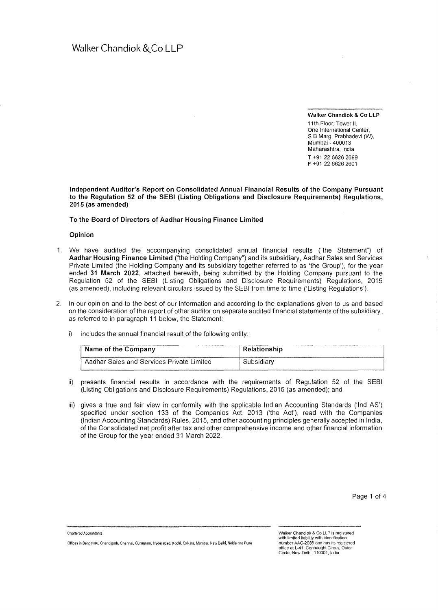**Walker Chandiok** & **Co LLP** 

11th Floor, Tower II One International Center, S B Marg, Prabhadevi (W). Mumbai• 400013 Maharashtra, India **T** +91 22 6626 2699 **F** +91 22 6626 2601

**Independent Auditor's Report on Consolidated Annual Financial Results of the Company Pursuant to the Regulation 52 of the SEBI (Listing Obligations and Disclosure Requirements) Regulations, 2015 (as amended)** 

**To the Board of Directors of Aadhar Housing Finance Limited** 

**Opinion** 

- 1. We have audited the accompanying consolidated annual financial results ("the Statement") of **Aadhar Housing Finance Limited** ("the Holding Company") and its subsidiary, Aadhar Sales and Services Private Limited (the Holding Company and its subsidiary together referred to as 'the Group'), for the year ended **31 March 2022,** attached herewith, being submitted by the Holding Company pursuant to the Regulation 52 of the SEBI (Listing Obligations and Disclosure Requirements) Regulations, 2015 (as amended), including relevant circulars issued by the SEBI from time to time ('Listing Regulations').
- 2. In our opinion and to the best of our information and according to the explanations given to us and based on the consideration of the report of other auditor on separate audited financial statements of the subsidiary, as referred to in paragraph 11 below, the Statement:
	- i) includes the annual financial result of the following entity:

| Name of the Company                       | Relationship |
|-------------------------------------------|--------------|
| Aadhar Sales and Services Private Limited | Subsidiarv   |

- ii) presents financial results in accordance with the requirements of Regulation 52 of the SEBI (Listing Obligations and Disclosure Requirements) Regulations, 2015 (as amended); and
- iii) gives a true and fair view in conformity with the applicable Indian Accounting Standards ('Ind AS') specified under section 133 of the Companies Act, 2013 ('the Act'), read with the Companies (Indian Accounting Standards) Rules, 2015, and other accounting principles generally accepted in India, of the Consolidated net profit after tax and other comprehensive income and other financial information of the Group for the year ended 31 March 2022.

Chartered Accountants

Walker Chandiok & Co LLP is registered with limited liability with identification number AAC-2085 and has its registered office at L-41, Connaught Circus, Outer<br>Circle, New Delhi, 110001, India

Offices in Bengaluru, Chandigarh, Chennai, Gurugram, Hyderabad, Kochi, Kolkata, Mumbai, New Delhi, Noida and Pune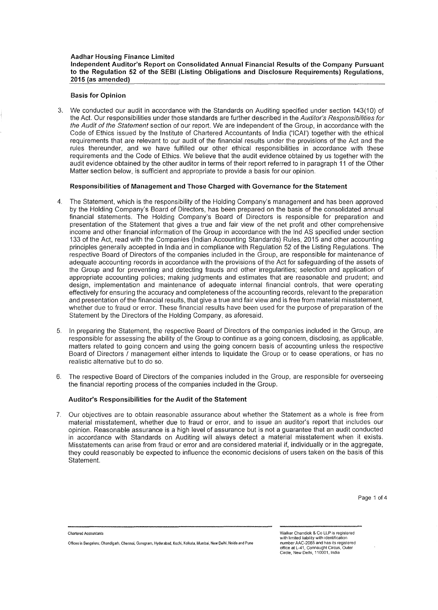## **Basis for Opinion**

3. We conducted our audit in accordance with the Standards on Auditing specified under section 143(10) of the Act. Our responsibilities under those standards are further described in the Auditor's Responsibilities for the Audit of the Statement section of our report. We are independent of the Group, in accordance with the Code of Ethics issued by the Institute of Chartered Accountants of India ('ICAI') together with the ethical requirements that are relevant to our audit of the financial results under the provisions of the Act and the rules thereunder, and we have fulfilled our other ethical responsibilities in accordance with these requirements and the Code of Ethics. We believe that the audit evidence obtained by us together with the audit evidence obtained by the other auditor in terms of their report referred to in paragraph 11 of the Other Matter section below, is sufficient and appropriate to provide a basis for our opinion.

## **Responsibilities of Management and Those Charged with Governance for the Statement**

- 4. The Statement, which is the responsibility of the Holding Company's management and has been approved by the Holding Company's Board of Directors, has been prepared on the basis of the consolidated annual financial statements. The Holding Company's Board of Directors is responsible for preparation and presentation of the Statement that gives a true and fair view of the net profit and other comprehensive income and other financial information of the Group in accordance with the Ind AS specified under section 133 of the Act, read with the Companies (Indian Accounting Standards) Rules, 2015 and other accounting principles generally accepted in India and in compliance with Regulation 52 of the Listing Regulations. The respective Board of Directors of the companies included in the Group, are responsible for maintenance of adequate accounting records in accordance with the provisions of the Act for safeguarding of the assets of the Group and for preventing and detecting frauds and other irregularities; selection and application of appropriate accounting policies; making judgments and estimates that are reasonable and prudent; and design, implementation and maintenance of adequate internal financial controls, that were operating effectively for ensuring the accuracy and completeness of the accounting records, relevant to the preparation and presentation of the financial results, that give a true and fair view and is free from material misstatement, whether due to fraud or error. These financial results have been used for the purpose of preparation of the Statement by the Directors of the Holding Company, as aforesaid.
- 5. In preparing the Statement, the respective Board of Directors of the companies included in the Group, are responsible for assessing the ability of the Group to continue as a going concern, disclosing, as applicable, matters related to going concern and using the going concern basis of accounting unless the respective Board of Directors / management either intends to liquidate the Group or to cease operations, or has no realistic alternative but to do so.
- 6. The respective Board of Directors of the companies included in the Group, are responsible for overseeing the financial reporting process of the companies included in the Group.

## **Auditor's Responsibilities for the Audit of the Statement**

7. Our objectives are to obtain reasonable assurance about whether the Statement as a whole is free from material misstatement, whether due to fraud or error, and to issue an auditor's report that includes our opinion. Reasonable assurance is a high level of assurance but is not a guarantee that an audit conducted in accordance with Standards on Auditing will always detect a material misstatement when it exists. Misstatements can arise from fraud or error and are considered material if, individually or in the aggregate, they could reasonably be expected to influence the economic decisions of users taken on the basis of this Statement.

**Chartered Accountants** 

**Offices in Bengaluru, Chandigarh, Chennai, Gurugram, Hyderabad, Kochi, Kolkata, Mumbai, New Delhi, Naida and Pune** 

Walker Chandiok & Co LLP is registered **with limited liability with identification**  number AAC-2085 and has its registered office at L-41, Connaught Circus. Outer Circle, New Delhi. 110001. India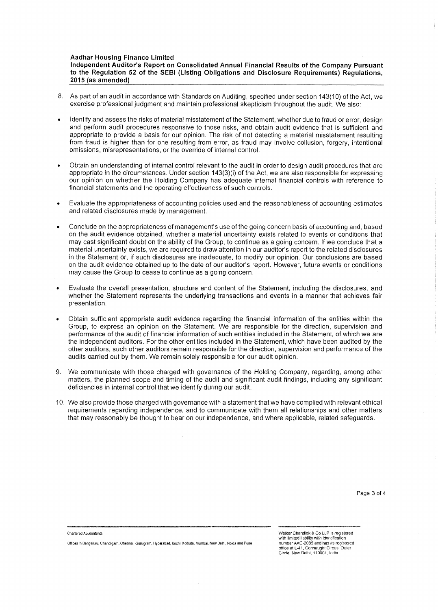#### **Aadhar Housing Finance Limited**

**Independent Auditor's Report on Consolidated Annual Financial Results of the Company Pursuant to the Regulation 52 of the SEBI (Listing Obligations and Disclosure Requirements) Regulations, 2015 (as amended)** 

- 8. As part of an audit in accordance with Standards on Auditing, specified under section 143(10) of the Act, we exercise professional judgment and maintain professional skepticism throughout the audit. We also:
- Identify and assess the risks of material misstatement of the Statement, whether due to fraud or error, design and perform audit procedures responsive to those risks, and obtain audit evidence that is sufficient and appropriate to provide a basis for our opinion. The risk of not detecting a material misstatement resulting from fraud is higher than for one resulting from error, as fraud may involve collusion, forgery, intentional omissions, misrepresentations, or the override of internal control.
- Obtain an understanding of internal control relevant to the audit in order to design audit procedures that are appropriate in the circumstances. Under section 143(3)(i) of the Act, we are also responsible for expressing our opinion on whether the Holding Company has adequate internal financial controls with reference to financial statements and the operating effectiveness of such controls.
- Evaluate the appropriateness of accounting policies used and the reasonableness of accounting estimates and related disclosures made by management.
- Conclude on the appropriateness of management's use of the going concern basis of accounting and, based on the audit evidence obtained, whether a material uncertainty exists related to events or conditions that may cast significant doubt on the ability of the Group, to continue as a going concern. If we conclude that a material uncertainty exists, we are required to draw attention in our auditor's report to the related disclosures in the Statement or, if such disclosures are inadequate, to modify our opinion. Our conclusions are based on the audit evidence obtained up to the date of our auditor's report. However, future events or conditions may cause the Group to cease to continue as a going concern.
- Evaluate the overall presentation, structure and content of the Statement, including the disclosures, and whether the Statement represents the underlying transactions and events in a manner that achieves fair presentation.
- Obtain sufficient appropriate audit evidence regarding the financial information of the entities within the Group, to express an opinion on the Statement. We are responsible for the direction, supervision and performance of the audit of financial information of such entities included in the Statement, of which we are the independent auditors. For the other entities included in the Statement, which have been audited by the other auditors, such other auditors remain responsible for the direction, supervision and performance of the audits carried out by them. We remain solely responsible for our audit opinion.
- 9. We communicate with those charged with governance of the Holding Company, regarding, among other matters, the planned scope and timing of the audit and significant audit findings, including any significant deficiencies in internal control that we identify during our audit.
- 10. We also provide those charged with governance with a statement that we have complied with relevant ethical requirements regarding independence, and to communicate with them all relationships and other matters that may reasonably be thought to bear on our independence, and where applicable, related safeguards.

Page 3 of 4

**Chartered Accountants** 

Walker Chandiok & Co LLP is registered with limited liability with identification number AAC-2085 and has ils registered office at L-41. Connaught Circus, Outer Circle, New Delhi, 110001. India

**Offices in Benga!uru, Chandigarh, Chennai, Gurugram, Hyderabad, Kochi, Kolkata, Mumbai, New Delhi, Noida and Pune**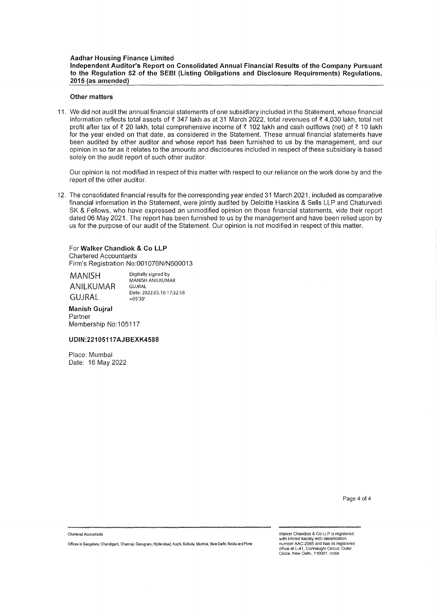## **Aadhar Housing Finance Limited Independent Auditor's Report on Consolidated Annual Financial Results of the Company Pursuant to the Regulation 52 of the SEBI (Listing Obligations and Disclosure Requirements) Regulations, 2015 (as amended)**

## **Other matters**

11. We did not audit the annual financial statements of one subsidiary included in the Statement, whose financial information reflects total assets of< 347 lakh as at 31 March 2022, total revenues of< 4,030 lakh, total net profit after tax of  $\bar{\tau}$  20 lakh, total comprehensive income of  $\bar{\tau}$  102 lakh and cash outflows (net) of  $\bar{\tau}$  10 lakh for the year ended on that date, as considered in the Statement. These annual financial statements have been audited by other auditor and whose report has been furnished to us by the management, and our opinion in so far as it relates to the amounts and disclosures included in respect of these subsidiary is based solely on the audit report of such other auditor.

Our opinion is not modified in respect of this matter with respect to our reliance on the work done by and the report of the other auditor.

12. The consolidated financial results for the corresponding year ended 31 March 2021, included as comparative financial information in the Statement, were jointly audited by Deloitte Haskins & Sells LLP and Chaturvedi SK & Fellows, who have expressed an unmodified opinion on those financial statements, vide their report dated 06 May 2021. The report has been furnished to us by the management and have been relied upon by us for the purpose of our audit of the Statement. Our opinion is not modified in respect of this matter.

## For **Walker Chandiok & Co LLP**  Chartered Accountants Firm's Registration No:001076N/N500013

MANISH ANILKUMAR GUJRAL

Digitally signed by MANISH ANILKUMAR GUJRAL Date: 2022.05.16 17:32:58 +05'30'

#### **Manish Gujral**  Partner

Membership No:105117

## **UDIN:22105117 AJBEXK4588**

Place: Mumbai Date: 16 May 2022

Page 4 of 4

**Chartered Accountants** 

**Offices in Benga1uru, Chandigarh, Chennai, Gurugram, Hyderabad, Kochi, Kolkata, Mumbai, New Delhi, Noida and Puna** 

Walker Chandiok & Co LLP is registered with limited liability with identification number AAC-2085 and has its registered office at L-41, Connaught Circus, Outer Circle, New Delhi. 110001, India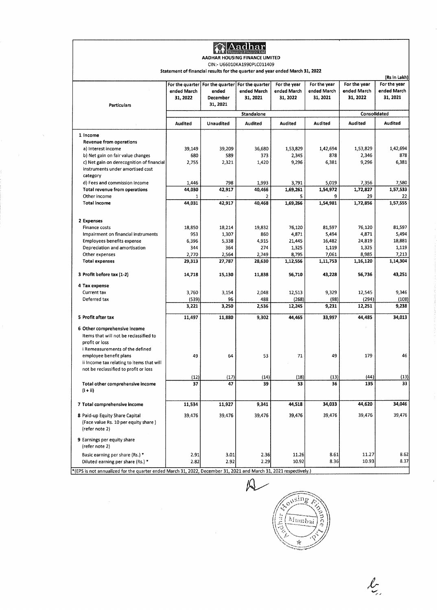|                                                                                                                             |                         |                               | AADHAR HOUSING FINANCE LIMITED                                                 |                                         |                                         |                                         |                                         |
|-----------------------------------------------------------------------------------------------------------------------------|-------------------------|-------------------------------|--------------------------------------------------------------------------------|-----------------------------------------|-----------------------------------------|-----------------------------------------|-----------------------------------------|
|                                                                                                                             |                         |                               | CIN: U66010KA1990PLC011409                                                     |                                         |                                         |                                         |                                         |
|                                                                                                                             |                         |                               | Statement of financial results for the quarter and year ended March 31, 2022   |                                         |                                         |                                         | (Rs in Lakh)                            |
| <b>Particulars</b>                                                                                                          | ended March<br>31, 2022 | ended<br>December<br>31, 2021 | For the quarter   For the quarter   For the quarter<br>ended March<br>31, 2021 | For the year<br>ended March<br>31, 2022 | For the year<br>ended March<br>31, 2021 | For the year<br>ended March<br>31, 2022 | For the year<br>ended March<br>31, 2021 |
|                                                                                                                             |                         |                               | Standalone                                                                     |                                         |                                         |                                         | Consolidated                            |
|                                                                                                                             | Audited                 | Unaudited                     | Audited                                                                        | Audited                                 | Audited                                 | Audited                                 | Audited                                 |
| 1 Income                                                                                                                    |                         |                               |                                                                                |                                         |                                         |                                         |                                         |
| <b>Revenue from operations</b>                                                                                              |                         |                               |                                                                                |                                         |                                         |                                         |                                         |
| a) Interest income                                                                                                          | 39,149                  | 39,209                        | 36,680                                                                         | 1,53,829                                | 1,42,694                                | 1,53,829                                | 1,42,694                                |
| b) Net gain on fair value changes                                                                                           | 680                     | 589                           | 373                                                                            | 2,345                                   | 878                                     | 2,346                                   | 878                                     |
| c) Net gain on derecognition of financial<br>instruments under amortised cost<br>category                                   | 2,755                   | 2,321                         | 1,420                                                                          | 9,296                                   | 6,381                                   | 9,296                                   | 6,381                                   |
| d) Fees and commission Income                                                                                               | 1,446                   | 798                           | 1,993                                                                          | 3,791                                   | 5,019                                   | 7,356                                   | 7,580                                   |
| <b>Total revenue from operations</b>                                                                                        | 44,030                  | 42,917                        | 40,466                                                                         | 1.69.261                                | 1,54,972                                | 1,72,827                                | 1,57,533                                |
| Other income                                                                                                                |                         |                               | 2                                                                              | 5                                       | 9                                       | 29                                      | 22                                      |
| <b>Total income</b>                                                                                                         | 44,031                  | 42,917                        | 40,468                                                                         | 1,69,266                                | 1,54,981                                | 1,72,856                                | 1,57,555                                |
| 2 Expenses                                                                                                                  |                         |                               |                                                                                |                                         |                                         |                                         |                                         |
| Finance costs                                                                                                               | 18,850                  | 18,214                        | 19,832                                                                         | 76,120                                  | 81,597                                  | 76,120                                  | 81,597                                  |
| Impairment on financial instruments                                                                                         | 953                     | 1,307                         | 860                                                                            | 4,871                                   | 5,494                                   | 4,871                                   | 5,494                                   |
| <b>Employees benefits expense</b>                                                                                           | 6,396                   | 5,338                         | 4,915                                                                          | 21,445                                  | 16,482                                  | 24,819                                  | 18,881                                  |
| Depreciation and amortisation                                                                                               | 344                     | 364                           | 274                                                                            | 1,325                                   | 1,119                                   | 1,325                                   | 1,119                                   |
| Other expenses                                                                                                              | 2,770                   | 2,564                         | 2,749                                                                          | 8,795                                   | 7,061                                   | 8,985                                   | 7,213                                   |
| <b>Total expenses</b>                                                                                                       | 29,313                  | 27,787                        | 28,630                                                                         | 1,12,556                                | 1,11,753                                | 1,16,120                                | 1,14,304                                |
| 3 Profit before tax (1-2)                                                                                                   | 14,718                  | 15,130                        | 11,838                                                                         | 56,710                                  | 43,228                                  | 56,736                                  | 43,251                                  |
| 4 Tax expense                                                                                                               |                         |                               |                                                                                |                                         |                                         |                                         |                                         |
| Current tax                                                                                                                 | 3,760                   | 3,154                         | 2,048                                                                          | 12,513                                  | 9,329                                   | 12,545                                  | 9,346                                   |
| Deferred tax                                                                                                                | (539)                   | 96                            | 488                                                                            | (268)                                   | (98)                                    | (294)                                   | (108)                                   |
|                                                                                                                             | 3,221                   | 3,250                         | 2,536                                                                          | 12,245                                  | 9,231                                   | 12,251                                  | 9,238                                   |
| 5 Profit after tax                                                                                                          | 11,497                  | 11,880                        | 9,302                                                                          | 44,465                                  | 33,997                                  | 44,485                                  | 34,013                                  |
| 6 Other comprehensive income<br>Items that will not be reclassified to<br>profit or loss<br>i Remeasurements of the defined |                         |                               |                                                                                |                                         |                                         |                                         |                                         |
| employee benefit plans<br>ii Income tax relating to items that will<br>not be reclassified to profit or loss                | 49                      | 64                            | 53                                                                             | 71                                      | 49                                      | 179                                     | 46                                      |
|                                                                                                                             | (12)                    | (17)                          | (14)                                                                           | (18)                                    | (13)                                    | (44)                                    | (13)                                    |
| Total other comprehensive income<br>$(i + ii)$                                                                              | 37                      | 47                            | 39                                                                             | 53                                      | 36                                      | 135                                     | 33                                      |
| 7 Total comprehensive income                                                                                                | 11,534                  | 11,927                        | 9,341                                                                          | 44,518                                  | 34,033                                  | 44,620                                  | 34,046                                  |
| 8 Paid-up Equity Share Capital<br>(Face value Rs. 10 per equity share)<br>(refer note 2)                                    | 39,476                  | 39,476                        | 39,476                                                                         | 39,476                                  | 39,476                                  | 39,476                                  | 39,476                                  |
| 9 Earnings per equity share                                                                                                 |                         |                               |                                                                                |                                         |                                         |                                         |                                         |
| (refer note 2)                                                                                                              |                         |                               |                                                                                |                                         |                                         |                                         |                                         |
| Basic earning per share (Rs.) *                                                                                             | 2.91<br>2.82            | 3.01                          | 2.36                                                                           | 11.26<br>10.92                          | 8.61<br>8.36                            | 11.27<br>10.93                          | 8.62<br>8.37                            |

 $\hat{J}$ 

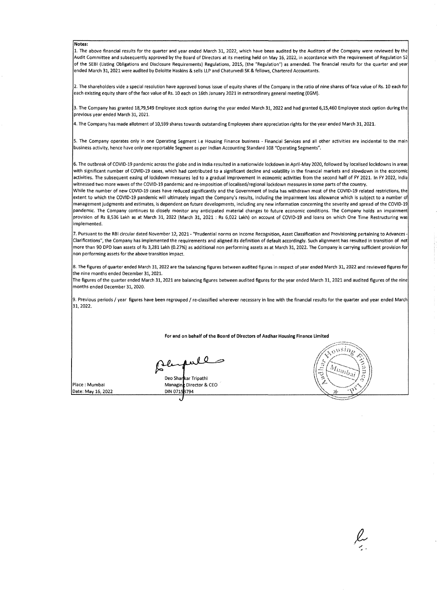#### **Notes:**

1. The above financial results for the quarter and year ended March 31, 2022, which have been audited by the Auditors of the Company were reviewed by the Audit Committee and subsequently approved by the Board of Directors at its meeting held on May 16, 2022, in accordance with the requirement of Regulation 52 of the SEBI (Listing Obligations and Disclosure Requirements) Regulations, 2015, (the "Regulation") as amended. The financial results for the quarter and year ended March 31, 2021 were audited by Deloitte Haskins & sells LLP and Chaturvedi SK & fellows, Chartered Accountants.

2. The shareholders vide a special resolution have approved bonus issue of equity shares of the Company in the ratio of nine shares of face value of Rs. 10 each for each existing equity share of the face value of Rs. 10 each on 16th January 2021 in extraordinary general meeting (EGM).

3. The Company has granted 18,79,549 Employee stock option during the year ended March 31, 2022 and had granted 6,15,460 Employee stock option during the previous year ended March 31, 2021.

4. The Company has made allotment of 10,599 shares towards outstanding Employees share appreciation rights for the year ended March 31, 2021.

5. The Company operates only in one Operating Segment i.e Housing Finance business - Financial Services and all other activities are incidental to the main business activity, hence have only one reportable Segment as per Indian Accounting Standard 108 "Operating Segments".

6. The outbreak of COVID-19 pandemic across the globe and in India resulted in a nationwide lockdown in April-May 2020, followed by localised lockdowns in areas with significant number of COVID-19 cases, which had contributed to a significant decline and volatility in the financial markets and slowdown in the economic activities. The subsequent easing of lockdown measures led to a gradual improvement in economic activities from the second half of FY 2021. In FY 2022, India witnessed two more waves of the COVID-19 pandemic and re-imposition of localised/regional lockdown measures in some parts of the country.

While the number of new COVID-19 cases have reduced significantly and the Government of India has withdrawn most of the COVID-19 related restrictions, the extent to which the COVID-19 pandemic will ultimately impact the Company's results, including the impairment loss allowance which is subject to a number of management judgments and estimates, is dependent on future developments, including any new information concerning the severity and spread of the COVID-19 pandemic. The Company continues to closely monitor any anticipated material changes to future economic conditions. The Company holds an impairment provision of Rs 8,536 Lakh as at March 31, 2022 (March 31, 2021 : Rs 6,022 Lakh) on account of COVID-19 and loans on which One Time Restructuring was implemented.

7. Pursuant to the RBI circular dated November 12, 2021- "Prudential norms on Income Recognition, Asset Classification and Provisioning pertaining to Advances - Clarifications", the Company has implemented the requirements and aligned its definition of default accordingly. Such alignment has resulted in transition of not more than 90 DPD loan assets of Rs 3,281 Lakh (0.27%) as additional non performing assets as at March 31, 2022. The Company is carrying sufficient provision for non performing assets for the above transition impact.

8. The figures of quarter ended March 31, 2022 are the balancing figures between audited figures in respect of year ended March 31, 2022 and reviewed figures for the nine months ended December 31, 2021.

The figures of the quarter ended March 31, 2021 are balancing figures between audited figures for the year ended March 31, 2021 and audited figures of the nine months ended December 31, 2020.

9. Previous periods/ year figures have been regrouped/ re-classified wherever necessary in line with the financial results for the quarter and year ended March 31, 2022.

**For and on behalf of the Board of Directors of Aadhar Housing Finance Limited** 

aull **0** 

Place : Mumbai Date: May 16, 2022 Deo Shankar Tripathi Managing Director & CEO DIN 07153794

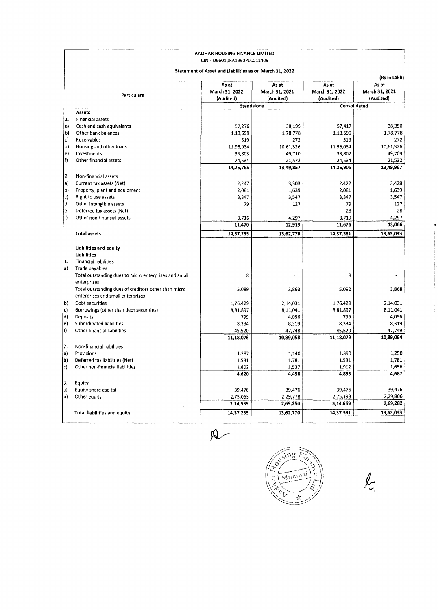|                   |                                                       | AADHAR HOUSING FINANCE LIMITED<br>CIN: - U66010KA1990PLC011409 |                             |                             |                             |
|-------------------|-------------------------------------------------------|----------------------------------------------------------------|-----------------------------|-----------------------------|-----------------------------|
|                   |                                                       | Statement of Asset and Liabilities as on March 31, 2022        |                             |                             |                             |
|                   |                                                       | As at                                                          | As at                       | As at                       | (Rs in Lakh)<br>As at       |
|                   | <b>Particulars</b>                                    | March 31, 2022<br>(Audited)                                    | March 31, 2021<br>(Audited) | March 31, 2022<br>(Audited) | March 31, 2021<br>(Audited) |
|                   |                                                       | Standalone                                                     |                             | Consolidated                |                             |
|                   | <b>Assets</b>                                         |                                                                |                             |                             |                             |
| 11.               | Financial assets                                      |                                                                |                             |                             |                             |
| la)               | Cash and cash equivalents                             | 57,276                                                         | 38,199                      | 57,417                      | 38,350                      |
| b                 | Other bank balances                                   | 1,13,599                                                       | 1,78,778                    | 1,13,599                    | 1,78,778                    |
| c)                | Receivables                                           | 519                                                            | 272                         | 519                         | 272                         |
| d)                | Housing and other loans                               | 11,96,034                                                      | 10,61,326                   | 11,96,034                   | 10,61,326                   |
| $\vert e \rangle$ | Investments                                           | 33,803                                                         | 49,710                      | 33,802                      | 49,709                      |
| f)                | Other financial assets                                | 24,534                                                         | 21,572                      | 24,534                      | 21,532                      |
|                   |                                                       | 14,25,765                                                      | 13,49,857                   | 14,25,905                   | 13,49,967                   |
| 2.                | Non-financial assets                                  |                                                                |                             |                             |                             |
| (a                | Current tax assets (Net)                              | 2,247                                                          | 3,303                       | 2,422                       | 3,428                       |
| b)                | Property, plant and equipment                         | 2,081                                                          | 1,639                       | 2,081                       | 1,639                       |
| lc)               | Right to use assets                                   | 3,347                                                          | 3,547                       | 3,347                       | 3,547                       |
| d)                | Other intangible assets                               | 79                                                             | 127                         | 79                          | 127                         |
| le)               | Deferred tax assets (Net)                             |                                                                |                             | 28                          | 28                          |
| $\vert f \rangle$ | Other non-financial assets                            | 3,716                                                          | 4,297                       | 3,719                       | 4,297                       |
|                   |                                                       | 11,470                                                         | 12,913                      | 11,676                      | 13,066                      |
|                   | <b>Total assets</b>                                   | 14,37,235                                                      | 13,62,770                   | 14,37,581                   | 13,63,033                   |
|                   |                                                       |                                                                |                             |                             |                             |
|                   | Liabilities and equity                                |                                                                |                             |                             |                             |
|                   | <b>Liabilities</b>                                    |                                                                |                             |                             |                             |
| 1.                | <b>Financial liabilities</b>                          |                                                                |                             |                             |                             |
| a)                | Trade payables                                        |                                                                |                             |                             |                             |
|                   | Total outstanding dues to micro enterprises and small | 8                                                              |                             | 8                           |                             |
|                   | enterprises                                           |                                                                |                             |                             |                             |
|                   | Total outstanding dues of creditors other than micro  | 5.089                                                          | 3,863                       | 5,092                       | 3,868                       |
|                   | enterprises and small enterprises                     |                                                                |                             |                             |                             |
| b                 | Debt securities                                       | 1,76,429                                                       | 2,14,031                    | 1,76,429                    | 2,14,031                    |
| lc)               | Borrowings (other than debt securities)               | 8,81,897                                                       | 8,11,041                    | 8,81,897                    | 8,11,041                    |
| d)                | Deposits                                              | 799                                                            | 4,056                       | 799                         | 4,056                       |
| $ e\rangle$       | Subordinated liabilities                              | 8,334                                                          | 8,319                       | 8,334                       | 8,319                       |
| f                 | Other financial liabilities                           | 45,520                                                         | 47,748                      | 45,520                      | 47,749                      |
|                   |                                                       | 11,18,076                                                      | 10,89,058                   | 11,18,079                   | 10,89,064                   |
|                   |                                                       |                                                                |                             |                             |                             |
| 2.                | Non-financial liabilities                             |                                                                |                             |                             |                             |
| a)                | Provisions                                            | 1,287                                                          | 1,140                       | 1,390                       | 1,250                       |
| b                 | Deferred tax liabilities (Net)                        | 1,531                                                          | 1,781                       | 1,531                       | 1,781                       |
| c)                | Other non-financial liabilities                       | 1,802                                                          | 1,537                       | 1,912                       | 1,656                       |
|                   |                                                       | 4,620                                                          | 4,458                       | 4,833                       | 4,687                       |
| 3.                | Equity                                                |                                                                |                             |                             |                             |
| a)                | Equity share capital                                  | 39,476                                                         | 39,476                      | 39,476                      | 39,476                      |
| b)                | Other equity                                          | 2,75,063                                                       | 2,29,778                    | 2,75,193                    | 2,29,806                    |
|                   |                                                       | 3,14,539                                                       | 2,69,254                    | 3,14,669                    | 2,69,282                    |
|                   | <b>Total liabilities and equity</b>                   | 14,37,235                                                      | 13,62,770                   | 14,37,581                   | 13,63,033                   |
|                   |                                                       |                                                                |                             |                             |                             |



Ţ.,  $i_{\delta_{\phi}}$ **Ace** 

 $\mathbb{R}$ 

 $\iota$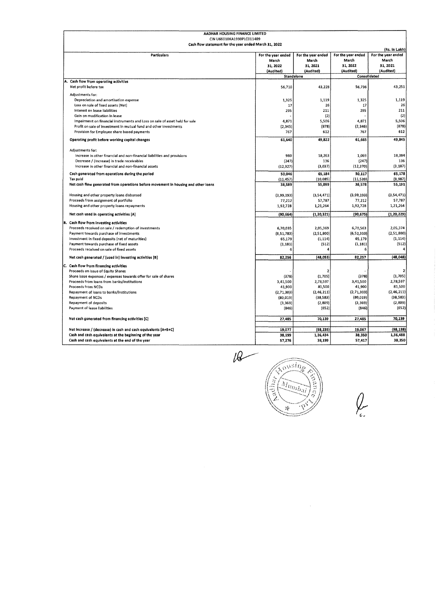| AADHAR HOUSING FINANCE LIMITED                                                     |                             |                             |                             |                             |
|------------------------------------------------------------------------------------|-----------------------------|-----------------------------|-----------------------------|-----------------------------|
| CIN U66010KA1990PLC011409<br>Cash flow statement for the year ended March 31, 2022 |                             |                             |                             |                             |
|                                                                                    |                             |                             |                             | (Rs. in Lakh)               |
| <b>Particulars</b>                                                                 | For the year ended<br>March | For the year ended<br>March | For the year ended<br>March | For the year ended<br>March |
|                                                                                    | 31, 2022                    | 31, 2021                    | 31, 2022                    | 31, 2021                    |
|                                                                                    | (Audited)                   | (Audited)                   | (Audited)                   | (Audited)                   |
|                                                                                    |                             | Standalone                  |                             | Consolidated                |
| A.<br>Cash flow from operating activities<br>Net profit before tax                 | 56,710                      | 43,228                      | 56.736                      | 43,251                      |
|                                                                                    |                             |                             |                             |                             |
| Adjustments for:                                                                   |                             |                             |                             |                             |
| Depreciation and amortisation expense                                              | 1,325                       | 1,119                       | 1,325                       | 1,119<br>26                 |
| Loss on sale of fixed assets (Net)<br>Interest on lease liabilities                | 17<br>295                   | 26<br>211                   | 17<br>295                   | 211                         |
| Gain on modification in lease                                                      |                             | (2)                         |                             | (2)                         |
| Impairment on financial instruments and Loss on sale of asset held for sale        | 4,871                       | 5,506                       | 4,871                       | 5,506                       |
| Profit on sale of investment in mutual fund and other investments                  | (2, 345)                    | (878)                       | (2, 346)                    | (878)                       |
| Provision for Employee share based payments                                        | 767                         | 612                         | 767                         | 612                         |
| Operating profit before working capital changes                                    | 61,640                      | 49,822                      | 61,665                      | 49,845                      |
|                                                                                    |                             |                             |                             |                             |
| Adjustments for:                                                                   |                             |                             |                             |                             |
| Increase in other financial and non-financial liabilities and provisions           | 980                         | 18,263                      | 1,069                       | 18,384                      |
| Decrease / (increase) in trade receivables                                         | (247)                       | 136                         | (247)                       | 136                         |
| Increase in other financial and non-financial assets                               | (12, 327)                   | (3,037)                     | (12, 370)                   | (3, 187)                    |
| Cash generated from operations during the period                                   | 50,046                      | 65,184                      | 50,117                      | 65.178                      |
| Tax paid                                                                           | (11.457)                    | (10.085)                    | (11, 539)                   | (9, 987)                    |
| Net cash flow generated from operations before movement in housing and other loans | 38,589                      | 55,099                      | 38,578                      | 55,191                      |
| Housing and other property loans disbursed                                         | (3,99,193)                  | (3, 54, 471)                | (3,99,193)                  | (3,54,471)                  |
| Proceeds from assignment of portfolio                                              | 77,212                      | 57,787                      | 77,212                      | 57,787                      |
| Housing and other property loans repayments                                        | 1,92,728                    | 1,21,264                    | 1,92,728                    | 1,21,264                    |
| Net cash used in operating activities [A]                                          | (90, 664)                   | (1, 20, 321)                | (90.675)                    | (1, 20, 229)                |
| Cash flow from investing activities                                                |                             |                             |                             |                             |
| Proceeds received on sale / redemption of investments                              | 6,70,035                    | 2,05,369                    | 6,70,563                    | 2,05,374                    |
| Payment towards purchase of investments                                            | (6, 51, 783)                | (2, 51, 800)                | (6, 52, 310)                | (2,51,800)                  |
| Investment in fixed deposits (net of maturities)                                   | 65,179                      | (1, 114)                    | 65,179                      | (1, 114)                    |
| Payment towards purchase of fixed assets                                           | (1, 181)                    | (512)                       | (1, 181)                    | (512)                       |
| Proceeds received on sale of fixed assets                                          | 6                           | 4                           |                             | 4                           |
| Net cash generated / (used in) Investing activities [B]                            | 82,256                      | (48, 053)                   | 82,257                      | (48, 048)                   |
| Ic.<br>Cash flow from financing activities                                         |                             |                             |                             |                             |
| Proceeds on Issue of Equity Shares                                                 |                             | 2                           |                             |                             |
| Share issue expenses / expenses towards offer for sale of shares                   | (378)                       | (1,705)                     | (378)                       | (1,705)                     |
| Proceeds from loans from banks/institutions                                        | 3,41,500                    | 2,78,597                    | 3,41,500                    | 2,78,597                    |
| Proceeds from NCDs                                                                 | 41,900                      | 81,500                      | 41,900                      | 81,500                      |
| Repayment of loans to banks/institutions                                           | (2,71,303)                  | (2, 46, 211)                | (2,71,303)                  | (2,46,211)                  |
| <b>Repayment of NCDs</b>                                                           | (80, 019)                   | (38, 583)                   | (80, 019)                   | (38, 583)<br>(2, 809)       |
| Repayment of deposits<br>Payment of lease liabilities                              | (3, 369)<br>(846)           | (2,809)<br>(652)            | (3,369)<br>(846)            | (652)                       |
|                                                                                    |                             |                             |                             |                             |
| Net cash generated from financing activities [C]                                   | 27,485                      | 70,139                      | 27,485                      | 70,139                      |
| Net Increase / (decrease) in cash and cash equivalents [A+B+C]                     | 19.077                      | (98, 235)                   | 19,067                      | (98, 138)                   |
| Cash and cash equivalents at the beginning of the year                             | 38,199                      | 1,36,434                    | 38.350                      | 1,36,488                    |
| Cash and cash equivalents at the end of the year                                   | 57,276                      | 38,199                      | 57,417                      | 38,350                      |

 $U$ 

**Kousing**  $M_{\overline{u}m\overline{b}a}$ 

 $\sim 10^6$ 

 $\oint_{\epsilon}$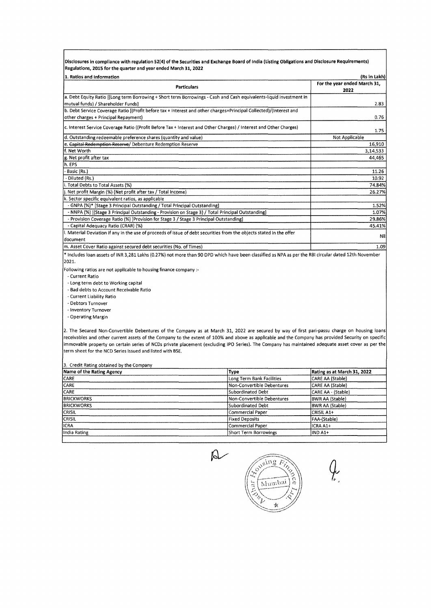**Disclosures in compliance with regulation 52(4) of the Securities and Exchange Board of India (Listing Obligations and Disclosure Requirements) Regulations, 2015 for the quarter and year ended March 31, 2022** 

| 1. Ratios and Information                                                                                                         | (Rs in Lakh)                         |
|-----------------------------------------------------------------------------------------------------------------------------------|--------------------------------------|
| Particulars                                                                                                                       | For the year ended March 31,<br>2022 |
| a. Debt Equity Ratio ((Long term Borrowing + Short term Borrowings - Cash and Cash equivalents-liquid investment in               |                                      |
| mutual funds) / Shareholder Funds)                                                                                                | 2.83                                 |
| b. Debt Service Coverage Ratio [(Profit before tax + Interest and other charges+Principal Collected)/(Interest and                |                                      |
| other charges + Principal Repayment)                                                                                              | 0.76                                 |
| c. Interest Service Coverage Ratio ((Profit Before Tax + Interest and Other Charges) / Interest and Other Charges)                | 1.75                                 |
| d. Outstanding redeemable preference shares (quantity and value)                                                                  | Not Applicable                       |
| e. Capital Redemption Reserve/ Debenture Redemption Reserve                                                                       | 16,910                               |
| lf. Net Worth                                                                                                                     | 3,14,533                             |
| g. Net profit after tax                                                                                                           | 44,465                               |
| h. EPS                                                                                                                            |                                      |
| Basic (Rs.)                                                                                                                       | 11.26                                |
| - Diluted (Rs.)                                                                                                                   | 10.92                                |
| i. Total Debts to Total Assets (%)                                                                                                | 74.84%                               |
| j. Net profit Margin (%) (Net profit after tax / Total Income)                                                                    | 26.27%                               |
| k. Sector specific equivalent ratios, as applicable                                                                               |                                      |
| - GNPA (%)* [Stage 3 Principal Outstanding / Total Principal Outstanding]                                                         | 1.52%                                |
| - NNPA (%) [(Stage 3 Principal Outstanding - Provision on Stage 3) / Total Principal Outstanding]                                 | 1.07%                                |
| - Provision Coverage Ratio (%) [Provision for Stage 3 / Stage 3 Principal Outstanding]                                            | 29.86%                               |
| - Capital Adequacy Ratio (CRAR) (%)                                                                                               | 45.41%                               |
| l. Material Deviation if any in the use of proceeds of issue of debt securities from the objects stated in the offer<br>ldocument | Nil                                  |
| m. Asset Cover Ratio against secured debt securities (No. of Times)                                                               | 1.09                                 |
|                                                                                                                                   |                                      |

\* Includes loan assets of INR 3,281 Lakhs (0.27%) not more than 90 DPD which have been classified as NPA as per the RBI circular dated 12th November 2021.

Following ratios are not applicable to housing finance company :-

- Current Ratio

• Long term debt to Working capital

• Bad debts to Account Receivable Ratio

• Current Liability Ratio

- Debtors Turnover

- Inventory Turnover

• Operating Margin

2. The Secured Non-Convertible Debentures of the Company as at March 31, 2022 are secured by way of first pari-passu charge on housing loans receivables and other current assets of the Company to the extent of 100% and above as applicable and the Company has provided Security on specific immovable property on certain series of NCDs private placement (excluding IPO Series). The Company has maintained adequate asset cover as per the term sheet for the NCD Series issued and listed with BSE.

3. Credit Rating obtained by the Company

| Name of the Rating Agency | Type                       | Rating as at March 31, 2022 |
|---------------------------|----------------------------|-----------------------------|
| <b>CARE</b>               | Long Term Bank Facilities  | CARE AA (Stable)            |
| <b>CARE</b>               | Non-Convertible Debentures | CARE AA (Stable)            |
| CARE                      | Subordinated Debt          | CARE AA - (Stable)          |
| <b>BRICKWORKS</b>         | Non-Convertible Debentures | <b>BWR AA (Stable)</b>      |
| <b>BRICKWORKS</b>         | Subordinated Debt          | <b>BWR AA (Stable)</b>      |
| <b>CRISIL</b>             | Commercial Paper           | İCRISIL A1+                 |
| <b>CRISIL</b>             | <b>Fixed Deposits</b>      | FAA-(Stable)                |
| <b>I</b> ICRA             | Commercial Paper           | ICRA A1+                    |
| India Rating              | Short Term Borrowings      | IIND A1+                    |
|                           |                            |                             |

 $\beta$ 

Cusing Fine ္ဂ Mumbai Å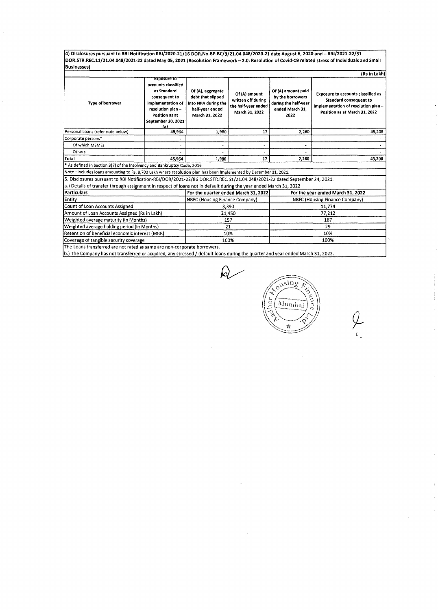**4) Disclosures pursuant to RBI Notification RBl/2020-21/16 DOR.No.BP.BC/3/21.04.048/2020-21 date August 6, 2020 and** - **RBl/2021-22/31 DOR.STR.REC.11/21.04.048/2021-22 dated May 05, 2021 (Resolution Framework** - **2.0: Resolution of Covid-19 related stress of Individuals and Small Businesses)** 

| (Rs in Lakh)                                                                                                              |                                                                                                                                                                    |                                                                                                                                                                                    |                                   |                                                                                           |                                                                                                                                             |  |  |  |  |  |  |
|---------------------------------------------------------------------------------------------------------------------------|--------------------------------------------------------------------------------------------------------------------------------------------------------------------|------------------------------------------------------------------------------------------------------------------------------------------------------------------------------------|-----------------------------------|-------------------------------------------------------------------------------------------|---------------------------------------------------------------------------------------------------------------------------------------------|--|--|--|--|--|--|
| <b>Type of borrower</b>                                                                                                   | <b>EXPOSUPE TO</b><br>accounts classified<br>as Standard<br>consequent to<br>Implementation of<br>resolution plan -<br>Position as at<br>September 30, 2021<br>۱۵۱ | Of (A), aggregate<br>Of (A) amount<br>debt that slipped<br>written off during<br>into NPA during the<br>the half-year ended<br>half-year ended<br>March 31, 2022<br>March 31, 2022 |                                   | Of (A) amount paid<br>by the borrowers<br>during the half-year<br>ended March 31.<br>2022 | <b>Exposure to accounts classified as</b><br>Standard consequent to<br>Implementation of resolution plan -<br>Position as at March 31, 2022 |  |  |  |  |  |  |
| Personal Loans (refer note below)                                                                                         | 45,964                                                                                                                                                             | 1,980                                                                                                                                                                              | 17                                | 2.260                                                                                     | 43,208                                                                                                                                      |  |  |  |  |  |  |
| Corporate persons*                                                                                                        |                                                                                                                                                                    |                                                                                                                                                                                    |                                   | ٠                                                                                         |                                                                                                                                             |  |  |  |  |  |  |
| Of which MSMEs                                                                                                            |                                                                                                                                                                    |                                                                                                                                                                                    |                                   | ۰                                                                                         |                                                                                                                                             |  |  |  |  |  |  |
| Others                                                                                                                    |                                                                                                                                                                    |                                                                                                                                                                                    |                                   |                                                                                           |                                                                                                                                             |  |  |  |  |  |  |
| Total                                                                                                                     | 45.964                                                                                                                                                             | 1,980                                                                                                                                                                              | 17                                | 2,260                                                                                     | 43,208                                                                                                                                      |  |  |  |  |  |  |
| * As defined in Section 3(7) of the Insolvency and Bankruptcy Code, 2016                                                  |                                                                                                                                                                    |                                                                                                                                                                                    |                                   |                                                                                           |                                                                                                                                             |  |  |  |  |  |  |
| Note : includes loans amounting to Rs. 8,703 Lakh where resolution plan has been implemented by December 31, 2021.        |                                                                                                                                                                    |                                                                                                                                                                                    |                                   |                                                                                           |                                                                                                                                             |  |  |  |  |  |  |
| 5. Disclosures pursuant to RBI Notification-RBI/DOR/2021-22/86 DOR.STR.REC.51/21.04.048/2021-22 dated September 24, 2021. |                                                                                                                                                                    |                                                                                                                                                                                    |                                   |                                                                                           |                                                                                                                                             |  |  |  |  |  |  |
| a.) Details of transfer through assignment in respect of loans not in default during the year ended March 31, 2022        |                                                                                                                                                                    |                                                                                                                                                                                    |                                   |                                                                                           |                                                                                                                                             |  |  |  |  |  |  |
| Particulars                                                                                                               |                                                                                                                                                                    | For the quarter ended March 31, 2022                                                                                                                                               | For the year ended March 31, 2022 |                                                                                           |                                                                                                                                             |  |  |  |  |  |  |
| Entity                                                                                                                    |                                                                                                                                                                    | NBFC (Housing Finance Company)                                                                                                                                                     |                                   | NBFC (Housing Finance Company)                                                            |                                                                                                                                             |  |  |  |  |  |  |
| Count of Loan Accounts Assigned                                                                                           |                                                                                                                                                                    |                                                                                                                                                                                    | 3,390                             | 11,774                                                                                    |                                                                                                                                             |  |  |  |  |  |  |
| Amount of Loan Accounts Assigned (Rs in Lakh)                                                                             |                                                                                                                                                                    |                                                                                                                                                                                    | 21,450                            |                                                                                           | 77,212                                                                                                                                      |  |  |  |  |  |  |
| Weighted average maturity (in Months)                                                                                     |                                                                                                                                                                    |                                                                                                                                                                                    | 157                               | 167                                                                                       |                                                                                                                                             |  |  |  |  |  |  |
| Weighted average holding period (in Months)                                                                               |                                                                                                                                                                    |                                                                                                                                                                                    | 21                                |                                                                                           | 29                                                                                                                                          |  |  |  |  |  |  |
| Retention of beneficial economic interest (MRR)                                                                           |                                                                                                                                                                    |                                                                                                                                                                                    | 10%<br>10%                        |                                                                                           |                                                                                                                                             |  |  |  |  |  |  |
| Coverage of tangible security coverage                                                                                    |                                                                                                                                                                    |                                                                                                                                                                                    | 100%                              | 100%                                                                                      |                                                                                                                                             |  |  |  |  |  |  |

The Loans transferred are not rated as same are non-corporate borrowers.

b.) The Company has not transferred or acquired, any stressed/ default loans during the quarter and year ended March 31, 2022.

 $\Omega$ ousing  $\mathcal{L}$ Ladhar Mumbai f, Ŵ

*9-*(.